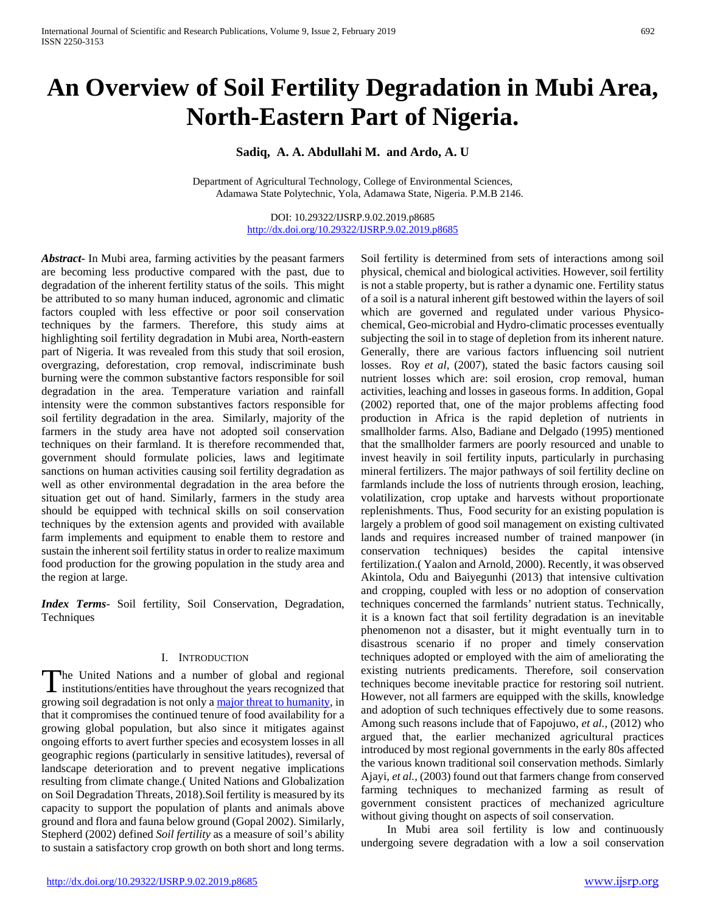# **An Overview of Soil Fertility Degradation in Mubi Area, North-Eastern Part of Nigeria.**

# **Sadiq, A. A. Abdullahi M. and Ardo, A. U**

Department of Agricultural Technology, College of Environmental Sciences, Adamawa State Polytechnic, Yola, Adamawa State, Nigeria. P.M.B 2146.

> DOI: 10.29322/IJSRP.9.02.2019.p8685 <http://dx.doi.org/10.29322/IJSRP.9.02.2019.p8685>

*Abstract***-** In Mubi area, farming activities by the peasant farmers are becoming less productive compared with the past, due to degradation of the inherent fertility status of the soils. This might be attributed to so many human induced, agronomic and climatic factors coupled with less effective or poor soil conservation techniques by the farmers. Therefore, this study aims at highlighting soil fertility degradation in Mubi area, North-eastern part of Nigeria. It was revealed from this study that soil erosion, overgrazing, deforestation, crop removal, indiscriminate bush burning were the common substantive factors responsible for soil degradation in the area. Temperature variation and rainfall intensity were the common substantives factors responsible for soil fertility degradation in the area. Similarly, majority of the farmers in the study area have not adopted soil conservation techniques on their farmland. It is therefore recommended that, government should formulate policies, laws and legitimate sanctions on human activities causing soil fertility degradation as well as other environmental degradation in the area before the situation get out of hand. Similarly, farmers in the study area should be equipped with technical skills on soil conservation techniques by the extension agents and provided with available farm implements and equipment to enable them to restore and sustain the inherent soil fertility status in order to realize maximum food production for the growing population in the study area and the region at large.

*Index Terms*- Soil fertility, Soil Conservation, Degradation, **Techniques** 

#### I. INTRODUCTION

he United Nations and a number of global and regional The United Nations and a number of global and regional institutions/entities have throughout the years recognized that growing soil degradation is not only a [major threat to humanity,](http://www.fao.org/fsnforum/sites/default/files/resources/Soil-degradation-Final-final_0.pdf) in that it compromises the continued tenure of food availability for a growing global population, but also since it mitigates against ongoing efforts to avert further species and ecosystem losses in all geographic regions (particularly in sensitive latitudes), reversal of landscape deterioration and to prevent negative implications resulting from climate change.( United Nations and Globalization on Soil Degradation Threats, 2018).Soil fertility is measured by its capacity to support the population of plants and animals above ground and flora and fauna below ground (Gopal 2002). Similarly, Stepherd (2002) defined *Soil fertility* as a measure of soil's ability to sustain a satisfactory crop growth on both short and long terms.

Soil fertility is determined from sets of interactions among soil physical, chemical and biological activities. However, soil fertility is not a stable property, but is rather a dynamic one. Fertility status of a soil is a natural inherent gift bestowed within the layers of soil which are governed and regulated under various Physicochemical, Geo-microbial and Hydro-climatic processes eventually subjecting the soil in to stage of depletion from its inherent nature. Generally, there are various factors influencing soil nutrient losses. Roy *et al,* (2007), stated the basic factors causing soil nutrient losses which are: soil erosion, crop removal, human activities, leaching and losses in gaseous forms. In addition, Gopal (2002) reported that, one of the major problems affecting food production in Africa is the rapid depletion of nutrients in smallholder farms. Also, Badiane and Delgado (1995) mentioned that the smallholder farmers are poorly resourced and unable to invest heavily in soil fertility inputs, particularly in purchasing mineral fertilizers. The major pathways of soil fertility decline on farmlands include the loss of nutrients through erosion, leaching, volatilization, crop uptake and harvests without proportionate replenishments. Thus, Food security for an existing population is largely a problem of good soil management on existing cultivated lands and requires increased number of trained manpower (in conservation techniques) besides the capital intensive fertilization.( Yaalon and Arnold, 2000). Recently, it was observed Akintola, Odu and Baiyegunhi (2013) that intensive cultivation and cropping, coupled with less or no adoption of conservation techniques concerned the farmlands' nutrient status. Technically, it is a known fact that soil fertility degradation is an inevitable phenomenon not a disaster, but it might eventually turn in to disastrous scenario if no proper and timely conservation techniques adopted or employed with the aim of ameliorating the existing nutrients predicaments. Therefore, soil conservation techniques become inevitable practice for restoring soil nutrient. However, not all farmers are equipped with the skills, knowledge and adoption of such techniques effectively due to some reasons. Among such reasons include that of Fapojuwo, *et al.,* (2012) who argued that, the earlier mechanized agricultural practices introduced by most regional governments in the early 80s affected the various known traditional soil conservation methods. Simlarly Ajayi, *et al.,* (2003) found out that farmers change from conserved farming techniques to mechanized farming as result of government consistent practices of mechanized agriculture without giving thought on aspects of soil conservation.

 In Mubi area soil fertility is low and continuously undergoing severe degradation with a low a soil conservation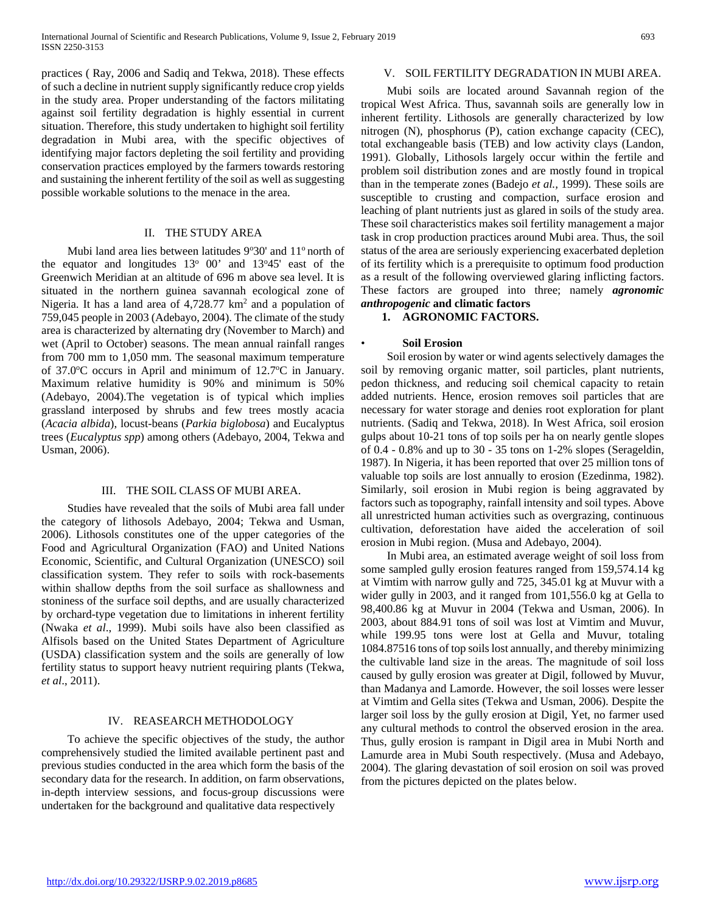practices ( Ray, 2006 and Sadiq and Tekwa, 2018). These effects of such a decline in nutrient supply significantly reduce crop yields in the study area. Proper understanding of the factors militating against soil fertility degradation is highly essential in current situation. Therefore, this study undertaken to highight soil fertility degradation in Mubi area, with the specific objectives of identifying major factors depleting the soil fertility and providing conservation practices employed by the farmers towards restoring and sustaining the inherent fertility of the soil as well as suggesting possible workable solutions to the menace in the area.

## II. THE STUDY AREA

Mubi land area lies between latitudes  $9°30'$  and  $11°$  north of the equator and longitudes  $13^{\circ}$  00' and  $13^{\circ}45'$  east of the Greenwich Meridian at an altitude of 696 m above sea level. It is situated in the northern guinea savannah ecological zone of Nigeria. It has a land area of  $4,728.77 \text{ km}^2$  and a population of 759,045 people in 2003 (Adebayo, 2004). The climate of the study area is characterized by alternating dry (November to March) and wet (April to October) seasons. The mean annual rainfall ranges from 700 mm to 1,050 mm. The seasonal maximum temperature of 37.0°C occurs in April and minimum of 12.7°C in January. Maximum relative humidity is 90% and minimum is 50% (Adebayo, 2004).The vegetation is of typical which implies grassland interposed by shrubs and few trees mostly acacia (*Acacia albida*), locust-beans (*Parkia biglobosa*) and Eucalyptus trees (*Eucalyptus spp*) among others (Adebayo, 2004, Tekwa and Usman, 2006).

#### III. THE SOIL CLASS OF MUBI AREA.

 Studies have revealed that the soils of Mubi area fall under the category of lithosols Adebayo, 2004; Tekwa and Usman, 2006). Lithosols constitutes one of the upper categories of the Food and Agricultural Organization (FAO) and United Nations Economic, Scientific, and Cultural Organization (UNESCO) soil classification system. They refer to soils with rock-basements within shallow depths from the soil surface as shallowness and stoniness of the surface soil depths, and are usually characterized by orchard-type vegetation due to limitations in inherent fertility (Nwaka *et al*., 1999). Mubi soils have also been classified as Alfisols based on the United States Department of Agriculture (USDA) classification system and the soils are generally of low fertility status to support heavy nutrient requiring plants (Tekwa, *et al*., 2011).

## IV. REASEARCH METHODOLOGY

 To achieve the specific objectives of the study, the author comprehensively studied the limited available pertinent past and previous studies conducted in the area which form the basis of the secondary data for the research. In addition, on farm observations, in-depth interview sessions, and focus-group discussions were undertaken for the background and qualitative data respectively

## V. SOIL FERTILITY DEGRADATION IN MUBI AREA.

 Mubi soils are located around Savannah region of the tropical West Africa. Thus, savannah soils are generally low in inherent fertility. Lithosols are generally characterized by low nitrogen (N), phosphorus (P), cation exchange capacity (CEC), total exchangeable basis (TEB) and low activity clays (Landon, 1991). Globally, Lithosols largely occur within the fertile and problem soil distribution zones and are mostly found in tropical than in the temperate zones (Badejo *et al.,* 1999). These soils are susceptible to crusting and compaction, surface erosion and leaching of plant nutrients just as glared in soils of the study area. These soil characteristics makes soil fertility management a major task in crop production practices around Mubi area. Thus, the soil status of the area are seriously experiencing exacerbated depletion of its fertility which is a prerequisite to optimum food production as a result of the following overviewed glaring inflicting factors. These factors are grouped into three; namely *agronomic anthropogenic* **and climatic factors**

## **1. AGRONOMIC FACTORS.**

## • **Soil Erosion**

 Soil erosion by water or wind agents selectively damages the soil by removing organic matter, soil particles, plant nutrients, pedon thickness, and reducing soil chemical capacity to retain added nutrients. Hence, erosion removes soil particles that are necessary for water storage and denies root exploration for plant nutrients. (Sadiq and Tekwa, 2018). In West Africa, soil erosion gulps about 10-21 tons of top soils per ha on nearly gentle slopes of 0.4 - 0.8% and up to 30 - 35 tons on 1-2% slopes (Serageldin, 1987). In Nigeria, it has been reported that over 25 million tons of valuable top soils are lost annually to erosion (Ezedinma, 1982). Similarly, soil erosion in Mubi region is being aggravated by factors such as topography, rainfall intensity and soil types. Above all unrestricted human activities such as overgrazing, continuous cultivation, deforestation have aided the acceleration of soil erosion in Mubi region. (Musa and Adebayo, 2004).

 In Mubi area, an estimated average weight of soil loss from some sampled gully erosion features ranged from 159,574.14 kg at Vimtim with narrow gully and 725, 345.01 kg at Muvur with a wider gully in 2003, and it ranged from 101,556.0 kg at Gella to 98,400.86 kg at Muvur in 2004 (Tekwa and Usman, 2006). In 2003, about 884.91 tons of soil was lost at Vimtim and Muvur, while 199.95 tons were lost at Gella and Muvur, totaling 1084.87516 tons of top soils lost annually, and thereby minimizing the cultivable land size in the areas. The magnitude of soil loss caused by gully erosion was greater at Digil, followed by Muvur, than Madanya and Lamorde. However, the soil losses were lesser at Vimtim and Gella sites (Tekwa and Usman, 2006). Despite the larger soil loss by the gully erosion at Digil, Yet, no farmer used any cultural methods to control the observed erosion in the area. Thus, gully erosion is rampant in Digil area in Mubi North and Lamurde area in Mubi South respectively. (Musa and Adebayo, 2004). The glaring devastation of soil erosion on soil was proved from the pictures depicted on the plates below.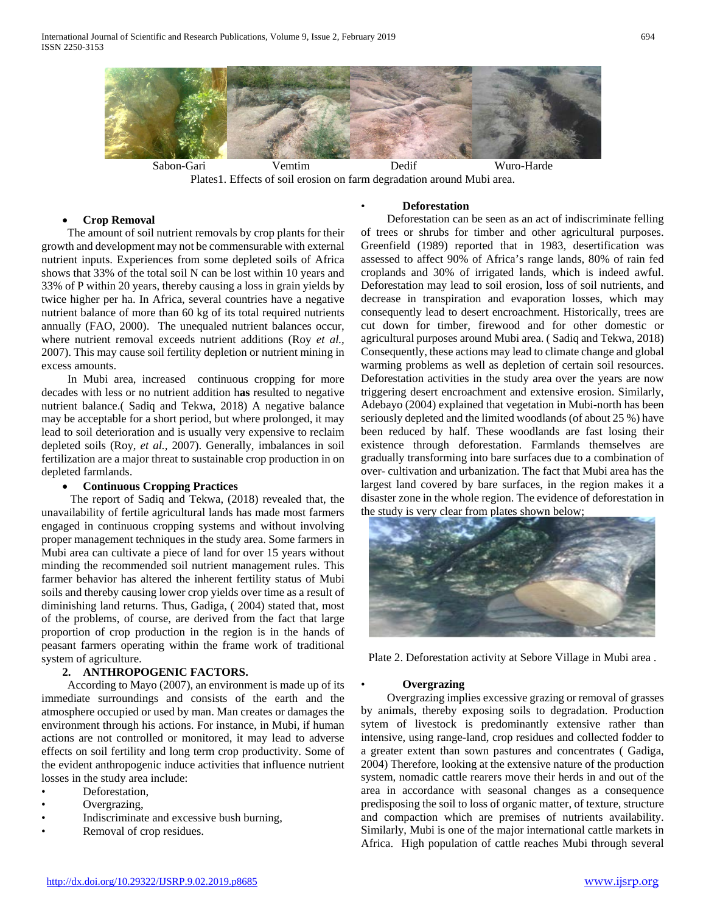

Plates1. Effects of soil erosion on farm degradation around Mubi area.

## • **Crop Removal**

 The amount of soil nutrient removals by crop plants for their growth and development may not be commensurable with external nutrient inputs. Experiences from some depleted soils of Africa shows that 33% of the total soil N can be lost within 10 years and 33% of P within 20 years, thereby causing a loss in grain yields by twice higher per ha. In Africa, several countries have a negative nutrient balance of more than 60 kg of its total required nutrients annually (FAO, 2000). The unequaled nutrient balances occur, where nutrient removal exceeds nutrient additions (Roy *et al.,* 2007). This may cause soil fertility depletion or nutrient mining in excess amounts.

 In Mubi area, increased continuous cropping for more decades with less or no nutrient addition h**as** resulted to negative nutrient balance.( Sadiq and Tekwa, 2018) A negative balance may be acceptable for a short period, but where prolonged, it may lead to soil deterioration and is usually very expensive to reclaim depleted soils (Roy, *et al.,* 2007). Generally, imbalances in soil fertilization are a major threat to sustainable crop production in on depleted farmlands.

# • **Continuous Cropping Practices**

 The report of Sadiq and Tekwa, (2018) revealed that, the unavailability of fertile agricultural lands has made most farmers engaged in continuous cropping systems and without involving proper management techniques in the study area. Some farmers in Mubi area can cultivate a piece of land for over 15 years without minding the recommended soil nutrient management rules. This farmer behavior has altered the inherent fertility status of Mubi soils and thereby causing lower crop yields over time as a result of diminishing land returns. Thus, Gadiga, ( 2004) stated that, most of the problems, of course, are derived from the fact that large proportion of crop production in the region is in the hands of peasant farmers operating within the frame work of traditional system of agriculture.

#### **2. ANTHROPOGENIC FACTORS.**

 According to Mayo (2007), an environment is made up of its immediate surroundings and consists of the earth and the atmosphere occupied or used by man. Man creates or damages the environment through his actions. For instance, in Mubi, if human actions are not controlled or monitored, it may lead to adverse effects on soil fertility and long term crop productivity. Some of the evident anthropogenic induce activities that influence nutrient losses in the study area include:

- Deforestation,
- Overgrazing,
- Indiscriminate and excessive bush burning,
- Removal of crop residues.

# • **Deforestation**

 Deforestation can be seen as an act of indiscriminate felling of trees or shrubs for timber and other agricultural purposes. Greenfield (1989) reported that in 1983, desertification was assessed to affect 90% of Africa's range lands, 80% of rain fed croplands and 30% of irrigated lands, which is indeed awful. Deforestation may lead to soil erosion, loss of soil nutrients, and decrease in transpiration and evaporation losses, which may consequently lead to desert encroachment. Historically, trees are cut down for timber, firewood and for other domestic or agricultural purposes around Mubi area. ( Sadiq and Tekwa, 2018) Consequently, these actions may lead to climate change and global warming problems as well as depletion of certain soil resources. Deforestation activities in the study area over the years are now triggering desert encroachment and extensive erosion. Similarly, Adebayo (2004) explained that vegetation in Mubi-north has been seriously depleted and the limited woodlands (of about 25 %) have been reduced by half. These woodlands are fast losing their existence through deforestation. Farmlands themselves are gradually transforming into bare surfaces due to a combination of over- cultivation and urbanization. The fact that Mubi area has the largest land covered by bare surfaces, in the region makes it a disaster zone in the whole region. The evidence of deforestation in the study is very clear from plates shown below;



Plate 2. Deforestation activity at Sebore Village in Mubi area .

### • **Overgrazing**

 Overgrazing implies excessive grazing or removal of grasses by animals, thereby exposing soils to degradation. Production sytem of livestock is predominantly extensive rather than intensive, using range-land, crop residues and collected fodder to a greater extent than sown pastures and concentrates ( Gadiga, 2004) Therefore, looking at the extensive nature of the production system, nomadic cattle rearers move their herds in and out of the area in accordance with seasonal changes as a consequence predisposing the soil to loss of organic matter, of texture, structure and compaction which are premises of nutrients availability. Similarly, Mubi is one of the major international cattle markets in Africa. High population of cattle reaches Mubi through several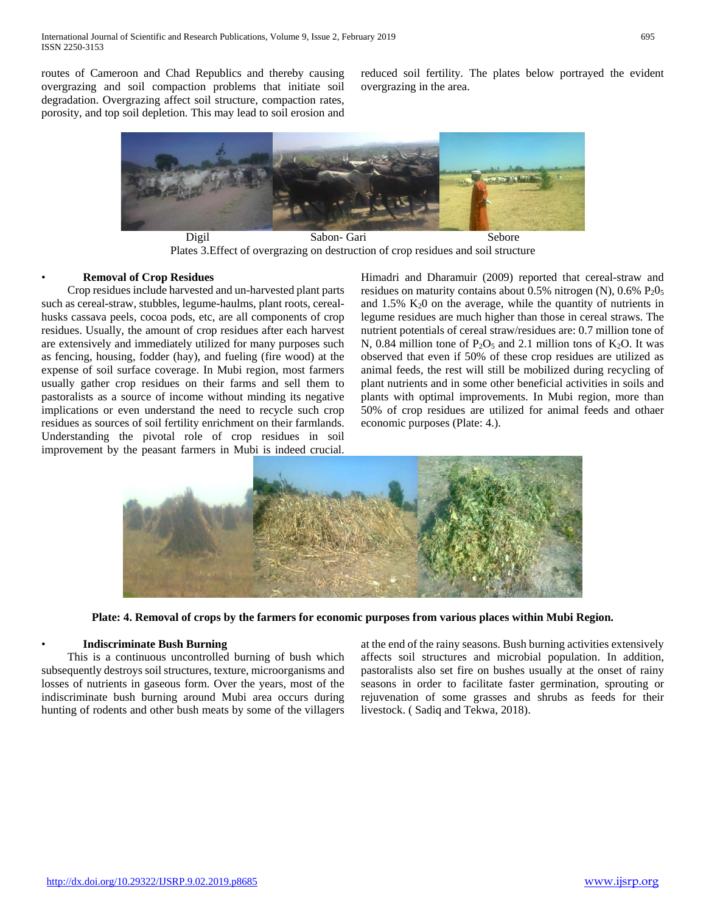routes of Cameroon and Chad Republics and thereby causing overgrazing and soil compaction problems that initiate soil degradation. Overgrazing affect soil structure, compaction rates, porosity, and top soil depletion. This may lead to soil erosion and

reduced soil fertility. The plates below portrayed the evident overgrazing in the area.



Digil Sabon- Gari Sebore Plates 3.Effect of overgrazing on destruction of crop residues and soil structure

## • **Removal of Crop Residues**

 Crop residues include harvested and un-harvested plant parts such as cereal-straw, stubbles, legume-haulms, plant roots, cerealhusks cassava peels, cocoa pods, etc, are all components of crop residues. Usually, the amount of crop residues after each harvest are extensively and immediately utilized for many purposes such as fencing, housing, fodder (hay), and fueling (fire wood) at the expense of soil surface coverage. In Mubi region, most farmers usually gather crop residues on their farms and sell them to pastoralists as a source of income without minding its negative implications or even understand the need to recycle such crop residues as sources of soil fertility enrichment on their farmlands. Understanding the pivotal role of crop residues in soil improvement by the peasant farmers in Mubi is indeed crucial.

Himadri and Dharamuir (2009) reported that cereal-straw and residues on maturity contains about  $0.5\%$  nitrogen (N),  $0.6\%$   $P_2O_5$ and  $1.5\%$  K<sub>2</sub>0 on the average, while the quantity of nutrients in legume residues are much higher than those in cereal straws. The nutrient potentials of cereal straw/residues are: 0.7 million tone of N, 0.84 million tone of  $P_2O_5$  and 2.1 million tons of  $K_2O$ . It was observed that even if 50% of these crop residues are utilized as animal feeds, the rest will still be mobilized during recycling of plant nutrients and in some other beneficial activities in soils and plants with optimal improvements. In Mubi region, more than 50% of crop residues are utilized for animal feeds and othaer economic purposes (Plate: 4.).



**Plate: 4. Removal of crops by the farmers for economic purposes from various places within Mubi Region.**

## • **Indiscriminate Bush Burning**

 This is a continuous uncontrolled burning of bush which subsequently destroys soil structures, texture, microorganisms and losses of nutrients in gaseous form. Over the years, most of the indiscriminate bush burning around Mubi area occurs during hunting of rodents and other bush meats by some of the villagers at the end of the rainy seasons. Bush burning activities extensively affects soil structures and microbial population. In addition, pastoralists also set fire on bushes usually at the onset of rainy seasons in order to facilitate faster germination, sprouting or rejuvenation of some grasses and shrubs as feeds for their livestock. ( Sadiq and Tekwa, 2018).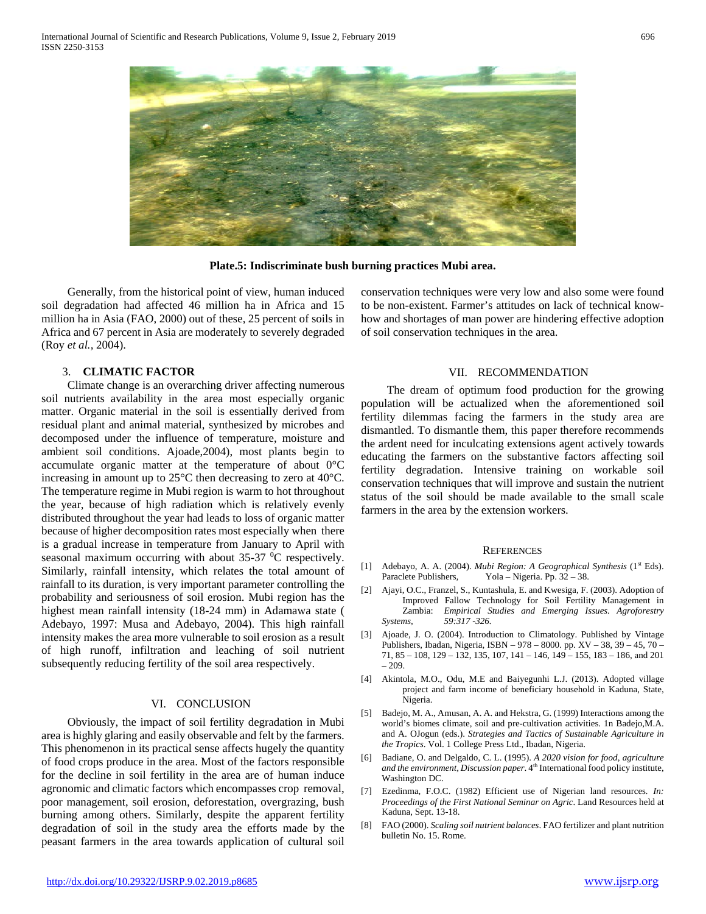

**Plate.5: Indiscriminate bush burning practices Mubi area.**

 Generally, from the historical point of view, human induced soil degradation had affected 46 million ha in Africa and 15 million ha in Asia (FAO, 2000) out of these, 25 percent of soils in Africa and 67 percent in Asia are moderately to severely degraded (Roy *et al.,* 2004).

## 3. **CLIMATIC FACTOR**

 Climate change is an overarching driver affecting numerous soil nutrients availability in the area most especially organic matter. Organic material in the soil is essentially derived from residual plant and animal material, synthesized by microbes and decomposed under the influence of temperature, moisture and ambient soil conditions. Ajoade,2004), most plants begin to accumulate organic matter at the temperature of about 0°C increasing in amount up to 25°C then decreasing to zero at 40°C. The temperature regime in Mubi region is warm to hot throughout the year, because of high radiation which is relatively evenly distributed throughout the year had leads to loss of organic matter because of higher decomposition rates most especially when there is a gradual increase in temperature from January to April with seasonal maximum occurring with about  $35-37$  <sup>o</sup>C respectively. Similarly, rainfall intensity, which relates the total amount of rainfall to its duration, is very important parameter controlling the probability and seriousness of soil erosion. Mubi region has the highest mean rainfall intensity (18-24 mm) in Adamawa state ( Adebayo, 1997: Musa and Adebayo, 2004). This high rainfall intensity makes the area more vulnerable to soil erosion as a result of high runoff, infiltration and leaching of soil nutrient subsequently reducing fertility of the soil area respectively.

## VI. CONCLUSION

 Obviously, the impact of soil fertility degradation in Mubi area is highly glaring and easily observable and felt by the farmers. This phenomenon in its practical sense affects hugely the quantity of food crops produce in the area. Most of the factors responsible for the decline in soil fertility in the area are of human induce agronomic and climatic factors which encompasses crop removal, poor management, soil erosion, deforestation, overgrazing, bush burning among others. Similarly, despite the apparent fertility degradation of soil in the study area the efforts made by the peasant farmers in the area towards application of cultural soil

conservation techniques were very low and also some were found to be non-existent. Farmer's attitudes on lack of technical knowhow and shortages of man power are hindering effective adoption of soil conservation techniques in the area.

#### VII. RECOMMENDATION

 The dream of optimum food production for the growing population will be actualized when the aforementioned soil fertility dilemmas facing the farmers in the study area are dismantled. To dismantle them, this paper therefore recommends the ardent need for inculcating extensions agent actively towards educating the farmers on the substantive factors affecting soil fertility degradation. Intensive training on workable soil conservation techniques that will improve and sustain the nutrient status of the soil should be made available to the small scale farmers in the area by the extension workers.

#### **REFERENCES**

- [1] Adebayo, A. A. (2004). *Mubi Region: A Geographical Synthesis* (1<sup>st</sup> Eds). Paraclete Publishers, Yola – Nigeria. Pp. 32 – 38.
- [2] Ajayi, O.C., Franzel, S., Kuntashula, E. and Kwesiga, F. (2003). Adoption of Improved Fallow Technology for Soil Fertility Management in Zambia: *Empirical Studies and Emerging Issues. Agroforestry Systems, 59:317 -326.*
- [3] Ajoade, J. O. (2004). Introduction to Climatology. Published by Vintage Publishers, Ibadan, Nigeria, ISBN – 978 – 8000. pp. XV – 38, 39 – 45, 70 – 71, 85 – 108, 129 – 132, 135, 107, 141 – 146, 149 – 155, 183 – 186, and 201 – 209.
- [4] Akintola, M.O., Odu, M.E and Baiyegunhi L.J. (2013). Adopted village project and farm income of beneficiary household in Kaduna, State, Nigeria.
- [5] Badejo, M. A., Amusan, A. A. and Hekstra, G. (1999) Interactions among the world's biomes climate, soil and pre-cultivation activities. 1n Badejo,M.A. and A. OJogun (eds.). *Strategies and Tactics of Sustainable Agriculture in the Tropics*. Vol. 1 College Press Ltd., Ibadan, Nigeria.
- [6] Badiane, O. and Delgaldo, C. L. (1995). *A 2020 vision for food, agriculture*  and the environment, Discussion paper. 4<sup>th</sup> International food policy institute, Washington DC.
- [7] Ezedinma, F.O.C. (1982) Efficient use of Nigerian land resources*. In: Proceedings of the First National Seminar on Agric*. Land Resources held at Kaduna, Sept. 13-18.
- [8] FAO (2000). *Scaling soil nutrient balances*. FAO fertilizer and plant nutrition bulletin No. 15. Rome.